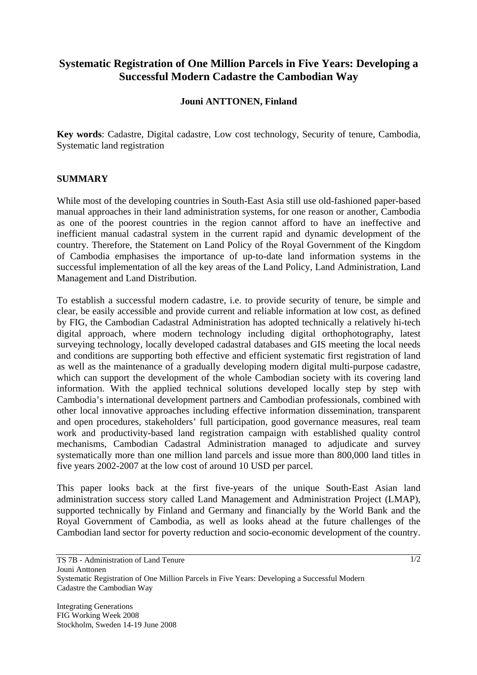## **Systematic Registration of One Million Parcels in Five Years: Developing a Successful Modern Cadastre the Cambodian Way**

## **Jouni ANTTONEN, Finland**

**Key words**: Cadastre, Digital cadastre, Low cost technology, Security of tenure, Cambodia, Systematic land registration

## **SUMMARY**

While most of the developing countries in South-East Asia still use old-fashioned paper-based manual approaches in their land administration systems, for one reason or another, Cambodia as one of the poorest countries in the region cannot afford to have an ineffective and inefficient manual cadastral system in the current rapid and dynamic development of the country. Therefore, the Statement on Land Policy of the Royal Government of the Kingdom of Cambodia emphasises the importance of up-to-date land information systems in the successful implementation of all the key areas of the Land Policy, Land Administration, Land Management and Land Distribution.

To establish a successful modern cadastre, i.e. to provide security of tenure, be simple and clear, be easily accessible and provide current and reliable information at low cost, as defined by FIG, the Cambodian Cadastral Administration has adopted technically a relatively hi-tech digital approach, where modern technology including digital orthophotography, latest surveying technology, locally developed cadastral databases and GIS meeting the local needs and conditions are supporting both effective and efficient systematic first registration of land as well as the maintenance of a gradually developing modern digital multi-purpose cadastre, which can support the development of the whole Cambodian society with its covering land information. With the applied technical solutions developed locally step by step with Cambodia's international development partners and Cambodian professionals, combined with other local innovative approaches including effective information dissemination, transparent and open procedures, stakeholders' full participation, good governance measures, real team work and productivity-based land registration campaign with established quality control mechanisms, Cambodian Cadastral Administration managed to adjudicate and survey systematically more than one million land parcels and issue more than 800,000 land titles in five years 2002-2007 at the low cost of around 10 USD per parcel.

This paper looks back at the first five-years of the unique South-East Asian land administration success story called Land Management and Administration Project (LMAP), supported technically by Finland and Germany and financially by the World Bank and the Royal Government of Cambodia, as well as looks ahead at the future challenges of the Cambodian land sector for poverty reduction and socio-economic development of the country.

TS 7B - Administration of Land Tenure

Jouni Anttonen

Systematic Registration of One Million Parcels in Five Years: Developing a Successful Modern Cadastre the Cambodian Way